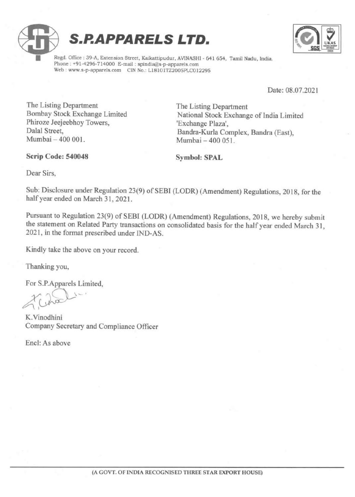



Regd. Office : 39-A, Extension Street, Kaikattipudur, AVINASHI - 641 654, Tamil Nadu, India. Web: www.s-p-apparels.com CIN No.: L18101TZ2005PLC012295

Date: 08.07.2021

The Listing Department<br>
Bombay Stock Exchange Limited<br>
National Stock Exchange Phiroze Jeejeebhoy Towers,<br>Dalal Street. Dalal Street, Bandra-Kurla Complex, Bandra (East), Bandra-Kurla Complex, Bandra (East), Mumbai - 400 051.

Scrip Code: 540048 Symbol: SPAL

National Stock Exchange of India Limited 'Exchange Plaza',

Dear Sirs,

Sub: Disclosure under Regulation 23(9) of SEBI (LODR) (Amendment) Regulations, 2018, for the half year ended on March 31, 2021.

Pursuant to Regulation 23(9) of SEBI (LODR) (Amendment) Regulations, 2018, we hereby submit the statement on Related Party transactions on consolidated basis for the half year ended March 31, 2021, in the format prescribed under IND-AS.

Kindly take the above on your record.

Thanking you,

For S.P.Apparels Limited,

Cho

K.Vinodhini Company Secretary and Compliance Officer

Encl: As above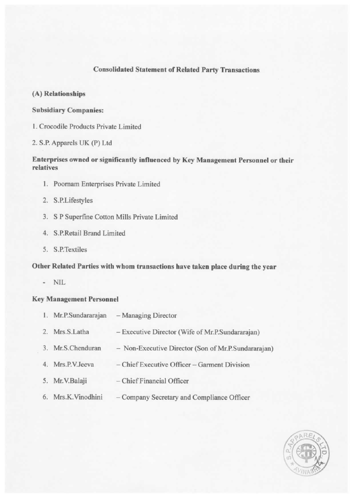## Consolidated Statement of Related Party Transactions

- (A) Relationships
- Subsidiary Companies:
- 1. Crocodile Products Private Limited
- 2. S.P. Apparels UK (P) Ltd

## Enterprises owned or significantly influenced by Key Management Personnel or their relatives

- l. Poornam Enterprises Private Limited
- 2. S.P.Lifestyles
- 3. S P Superfine Cotton Mills Private Limited
- S.P.Retail Brand Limited
- 5. S.P.Textiles

## Other Related Parties with whom transactions have taken place during the year

NIL

## Key Management Personne!

| 1. Mr.P.Sundararajan | - Managing Director                                 |
|----------------------|-----------------------------------------------------|
| 2. Mrs.S.Latha       | - Executive Director (Wife of Mr.P.Sundararajan)    |
| 3. Mr.S.Chenduran    | - Non-Executive Director (Son of Mr.P.Sundararajan) |
| 4. Mrs.P.V.Jeeva     | - Chief Executive Officer - Garment Division        |
| 5. Mr.V.Balaji       | - Chief Financial Officer                           |
| 6. Mrs.K.Vinodhini   | - Company Secretary and Compliance Officer          |